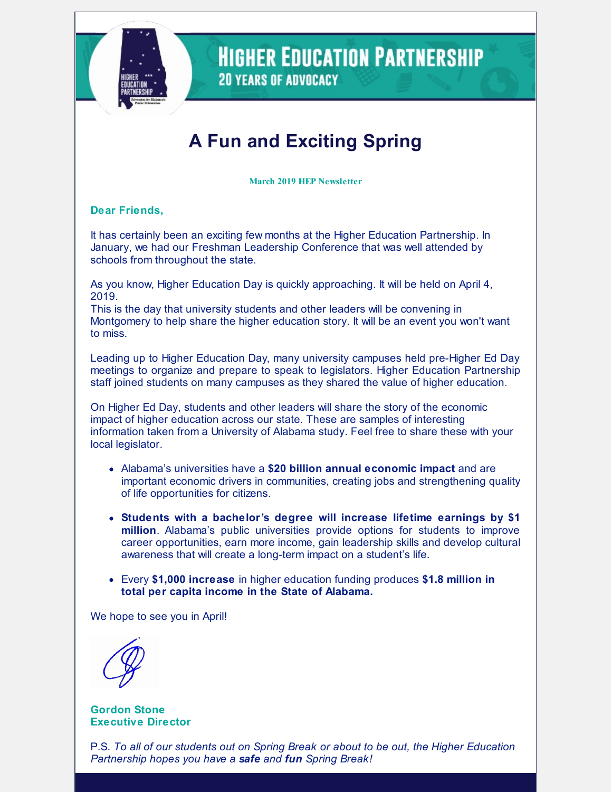

### **HIGHER EDUCATION PARTNERSHIP 20 YEARS OF ADVOCACY**

# **A Fun and Exciting Spring**

**March 2019 HEP Newsletter**

**Dear Friends,**

It has certainly been an exciting few months at the Higher Education Partnership. In January, we had our Freshman Leadership Conference that was well attended by schools from throughout the state.

As you know, Higher Education Day is quickly approaching. It will be held on April 4, 2019.

This is the day that university students and other leaders will be convening in Montgomery to help share the higher education story. It will be an event you won't want to miss.

Leading up to Higher Education Day, many university campuses held pre-Higher Ed Day meetings to organize and prepare to speak to legislators. Higher Education Partnership staff joined students on many campuses as they shared the value of higher education.

On Higher Ed Day, students and other leaders will share the story of the economic impact of higher education across our state. These are samples of interesting information taken from a University of Alabama study. Feel free to share these with your local legislator.

- Alabama's universities have a **\$20 billion annual economic impact** and are important economic drivers in communities, creating jobs and strengthening quality of life opportunities for citizens.
- **Students with a bachelor's degree will increase lifetime earnings by \$1 million**. Alabama's public universities provide options for students to improve career opportunities, earn more income, gain leadership skills and develop cultural awareness that will create a long-term impact on a student's life.
- Every **\$1,000 increase** in higher education funding produces **\$1.8 million in total per capita income in the State of Alabama.**

We hope to see you in April!

**Gordon Stone Executive Director**

P.S. *To all of our students out on Spring Break or about to be out, the Higher Education Partnership hopes you have a safe and fun Spring Break!*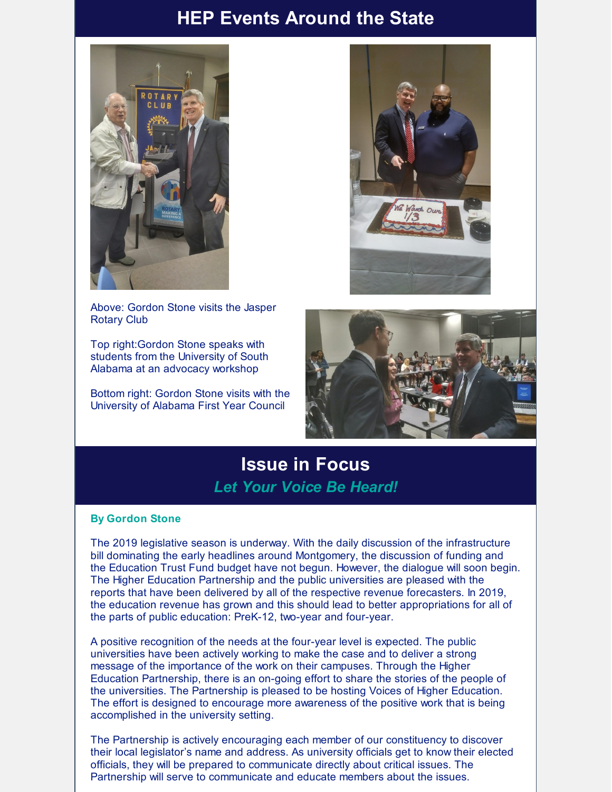#### **HEP Events Around the State**



Above: Gordon Stone visits the Jasper Rotary Club

Top right:Gordon Stone speaks with students from the University of South Alabama at an advocacy workshop

Bottom right: Gordon Stone visits with the University of Alabama First Year Council





#### **Issue in Focus** *Let Your Voice Be Heard!*

#### **By Gordon Stone**

The 2019 legislative season is underway. With the daily discussion of the infrastructure bill dominating the early headlines around Montgomery, the discussion of funding and the Education Trust Fund budget have not begun. However, the dialogue will soon begin. The Higher Education Partnership and the public universities are pleased with the reports that have been delivered by all of the respective revenue forecasters. In 2019, the education revenue has grown and this should lead to better appropriations for all of the parts of public education: PreK-12, two-year and four-year.

A positive recognition of the needs at the four-year level is expected. The public universities have been actively working to make the case and to deliver a strong message of the importance of the work on their campuses. Through the Higher Education Partnership, there is an on-going effort to share the stories of the people of the universities. The Partnership is pleased to be hosting Voices of Higher Education. The effort is designed to encourage more awareness of the positive work that is being accomplished in the university setting.

The Partnership is actively encouraging each member of our constituency to discover their local legislator's name and address. As university officials get to know their elected officials, they will be prepared to communicate directly about critical issues. The Partnership will serve to communicate and educate members about the issues.